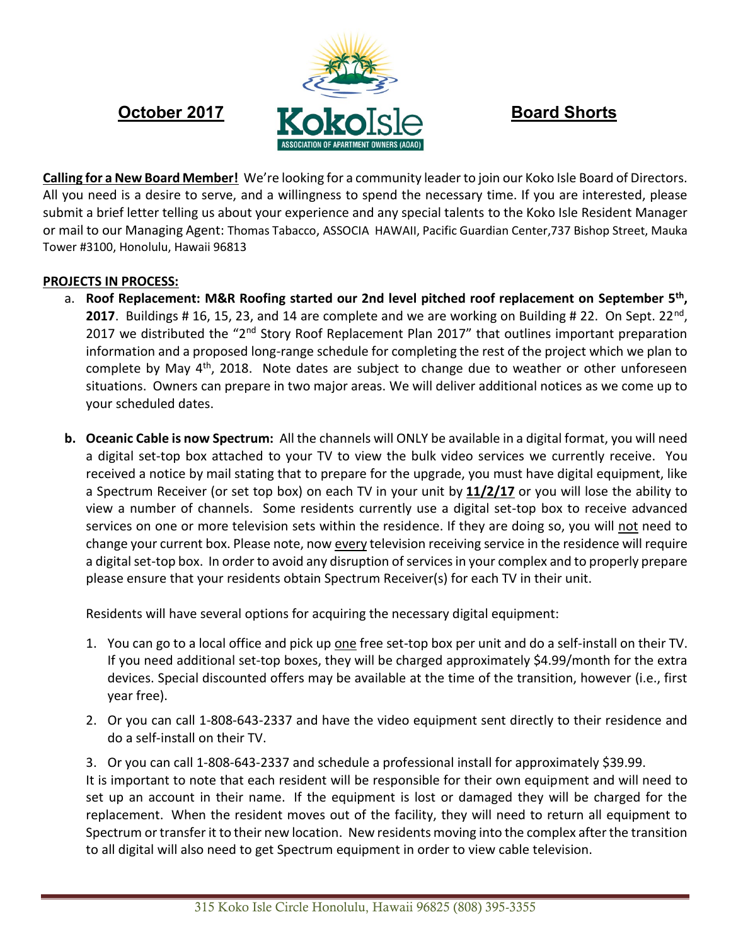

**Calling for a New Board Member!** We're looking for a community leader to join our Koko Isle Board of Directors. All you need is a desire to serve, and a willingness to spend the necessary time. If you are interested, please submit a brief letter telling us about your experience and any special talents to the Koko Isle Resident Manager or mail to our Managing Agent: Thomas Tabacco, ASSOCIA HAWAII, Pacific Guardian Center,737 Bishop Street, Mauka Tower #3100, Honolulu, Hawaii 96813

## **PROJECTS IN PROCESS:**

- a. **Roof Replacement: M&R Roofing started our 2nd level pitched roof replacement on September 5 th ,** 2017. Buildings # 16, 15, 23, and 14 are complete and we are working on Building # 22. On Sept. 22<sup>nd</sup>, 2017 we distributed the "2<sup>nd</sup> Story Roof Replacement Plan 2017" that outlines important preparation information and a proposed long-range schedule for completing the rest of the project which we plan to complete by May 4<sup>th</sup>, 2018. Note dates are subject to change due to weather or other unforeseen situations. Owners can prepare in two major areas. We will deliver additional notices as we come up to your scheduled dates.
- **b. Oceanic Cable is now Spectrum:** All the channels will ONLY be available in a digital format, you will need a digital set-top box attached to your TV to view the bulk video services we currently receive. You received a notice by mail stating that to prepare for the upgrade, you must have digital equipment, like a Spectrum Receiver (or set top box) on each TV in your unit by **11/2/17** or you will lose the ability to view a number of channels. Some residents currently use a digital set-top box to receive advanced services on one or more television sets within the residence. If they are doing so, you will not need to change your current box. Please note, now every television receiving service in the residence will require a digital set-top box. In order to avoid any disruption of services in your complex and to properly prepare please ensure that your residents obtain Spectrum Receiver(s) for each TV in their unit.

Residents will have several options for acquiring the necessary digital equipment:

- 1. You can go to a local office and pick up one free set-top box per unit and do a self-install on their TV. If you need additional set-top boxes, they will be charged approximately \$4.99/month for the extra devices. Special discounted offers may be available at the time of the transition, however (i.e., first year free).
- 2. Or you can call 1-808-643-2337 and have the video equipment sent directly to their residence and do a self-install on their TV.
- 3. Or you can call 1-808-643-2337 and schedule a professional install for approximately \$39.99.

It is important to note that each resident will be responsible for their own equipment and will need to set up an account in their name. If the equipment is lost or damaged they will be charged for the replacement. When the resident moves out of the facility, they will need to return all equipment to Spectrum or transfer it to their new location. New residents moving into the complex after the transition to all digital will also need to get Spectrum equipment in order to view cable television.